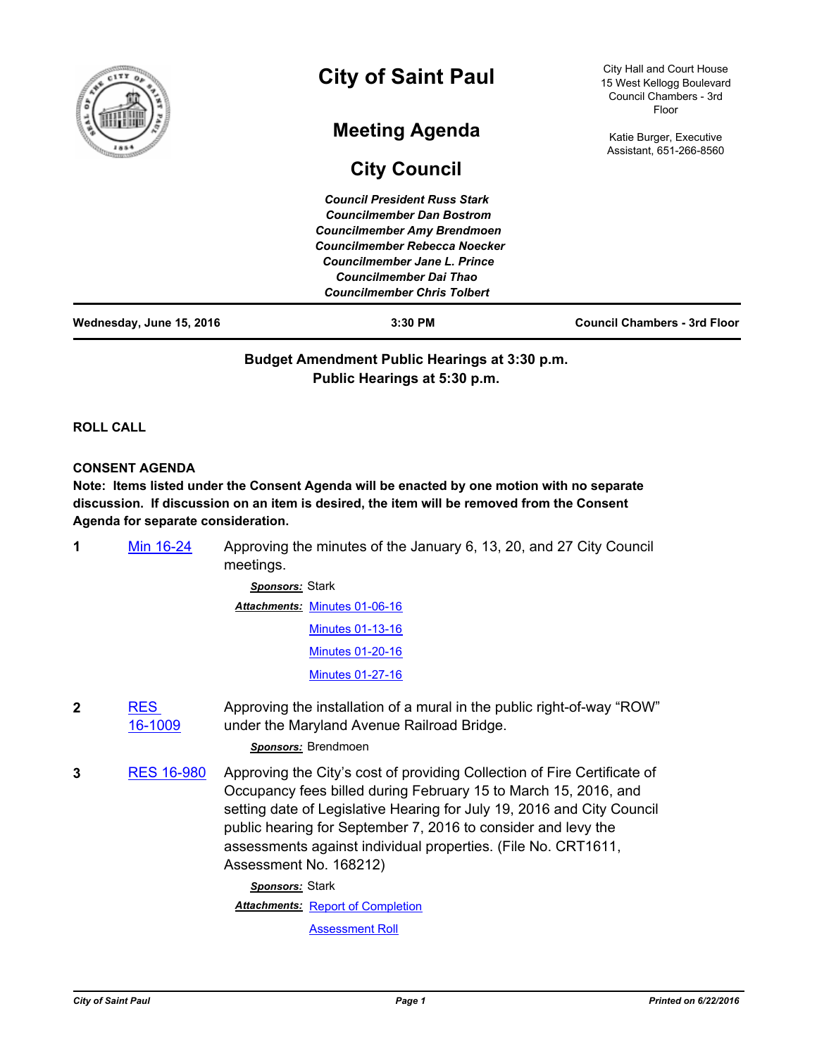| f                        | <b>City of Saint Paul</b>                                                                                                                                                                                                                             | City Hall and Court House<br>15 West Kellogg Boulevard<br>Council Chambers - 3rd<br>Floor |
|--------------------------|-------------------------------------------------------------------------------------------------------------------------------------------------------------------------------------------------------------------------------------------------------|-------------------------------------------------------------------------------------------|
|                          | <b>Meeting Agenda</b><br><b>City Council</b>                                                                                                                                                                                                          | Katie Burger, Executive<br>Assistant, 651-266-8560                                        |
|                          | <b>Council President Russ Stark</b><br><b>Councilmember Dan Bostrom</b><br><b>Councilmember Amy Brendmoen</b><br>Councilmember Rebecca Noecker<br>Councilmember Jane L. Prince<br><b>Councilmember Dai Thao</b><br><b>Councilmember Chris Tolbert</b> |                                                                                           |
| Wednesday, June 15, 2016 | 3:30 PM                                                                                                                                                                                                                                               | <b>Council Chambers - 3rd Floor</b>                                                       |

**Budget Amendment Public Hearings at 3:30 p.m. Public Hearings at 5:30 p.m.**

**ROLL CALL**

### **CONSENT AGENDA**

**Note: Items listed under the Consent Agenda will be enacted by one motion with no separate discussion. If discussion on an item is desired, the item will be removed from the Consent Agenda for separate consideration.**

| Min 16-24 | Approving the minutes of the January 6, 13, 20, and 27 City Council |
|-----------|---------------------------------------------------------------------|
|           | meetings.                                                           |

*Sponsors:* Stark Attachments: [Minutes 01-06-16](http://StPaul.legistar.com/gateway.aspx?M=F&ID=2be80994-9931-4235-aaa6-4fa9d2ffc758.pdf) [Minutes 01-13-16](http://StPaul.legistar.com/gateway.aspx?M=F&ID=86682a3f-370e-4b99-89d1-7721ee95c600.pdf) [Minutes 01-20-16](http://StPaul.legistar.com/gateway.aspx?M=F&ID=9a9ae24c-29f7-4bf8-b3d8-19456a645544.pdf) [Minutes 01-27-16](http://StPaul.legistar.com/gateway.aspx?M=F&ID=58a98718-ce34-4f95-9579-26574ed12a76.pdf)

**2** RES [16-1009](http://stpaul.legistar.com/gateway.aspx?m=l&id=/matter.aspx?key=21853) Approving the installation of a mural in the public right-of-way "ROW" under the Maryland Avenue Railroad Bridge.

*Sponsors:* Brendmoen

**3** [RES 16-980](http://stpaul.legistar.com/gateway.aspx?m=l&id=/matter.aspx?key=21815) Approving the City's cost of providing Collection of Fire Certificate of Occupancy fees billed during February 15 to March 15, 2016, and setting date of Legislative Hearing for July 19, 2016 and City Council public hearing for September 7, 2016 to consider and levy the assessments against individual properties. (File No. CRT1611, Assessment No. 168212)

> *Sponsors:* Stark **Attachments: [Report of Completion](http://StPaul.legistar.com/gateway.aspx?M=F&ID=1fa447b5-32ec-4a8d-bc72-035114d6a175.pdf)**

[Assessment Roll](http://StPaul.legistar.com/gateway.aspx?M=F&ID=5dac8de1-0bcf-412a-bbce-045fc933c4b3.pdf)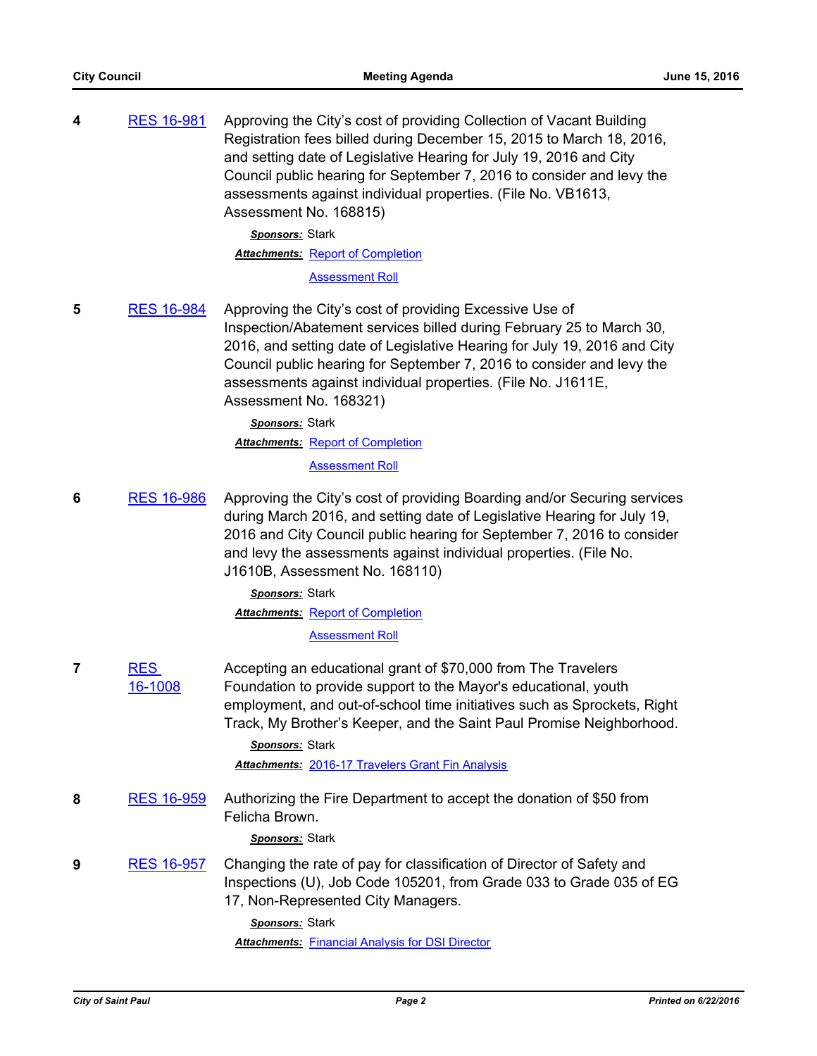| 4 | <b>RES 16-981</b> | Approving the City's cost of providing Collection of Vacant Building<br>Registration fees billed during December 15, 2015 to March 18, 2016,<br>and setting date of Legislative Hearing for July 19, 2016 and City<br>Council public hearing for September 7, 2016 to consider and levy the<br>assessments against individual properties. (File No. VB1613,<br>Assessment No. 168815) |
|---|-------------------|---------------------------------------------------------------------------------------------------------------------------------------------------------------------------------------------------------------------------------------------------------------------------------------------------------------------------------------------------------------------------------------|
|   |                   | <b>Sponsors: Stark</b>                                                                                                                                                                                                                                                                                                                                                                |
|   |                   | <b>Attachments: Report of Completion</b>                                                                                                                                                                                                                                                                                                                                              |
|   |                   | <b>Assessment Roll</b>                                                                                                                                                                                                                                                                                                                                                                |
| 5 | <b>RES 16-984</b> | Approving the City's cost of providing Excessive Use of<br>Inspection/Abatement services billed during February 25 to March 30,<br>2016, and setting date of Legislative Hearing for July 19, 2016 and City<br>Council public hearing for September 7, 2016 to consider and levy the<br>assessments against individual properties. (File No. J1611E,<br>Assessment No. 168321)        |

*Sponsors:* Stark **Attachments: [Report of Completion](http://StPaul.legistar.com/gateway.aspx?M=F&ID=7e5cbe94-9eda-4849-8d1d-926c28d88da2.pdf)** [Assessment Roll](http://StPaul.legistar.com/gateway.aspx?M=F&ID=935bd712-6c60-4ac8-a27e-b748915d8f3e.pdf)

**6** [RES 16-986](http://stpaul.legistar.com/gateway.aspx?m=l&id=/matter.aspx?key=21821) Approving the City's cost of providing Boarding and/or Securing services during March 2016, and setting date of Legislative Hearing for July 19, 2016 and City Council public hearing for September 7, 2016 to consider and levy the assessments against individual properties. (File No. J1610B, Assessment No. 168110)

> *Sponsors:* Stark **Attachments: [Report of Completion](http://StPaul.legistar.com/gateway.aspx?M=F&ID=e2aab6e8-ea6e-4b4c-9bae-d81ba017b4bf.pdf)** [Assessment Roll](http://StPaul.legistar.com/gateway.aspx?M=F&ID=3924ae81-1e33-4863-a7af-38341dab82d0.pdf)

**7** RES [16-1008](http://stpaul.legistar.com/gateway.aspx?m=l&id=/matter.aspx?key=21850) Accepting an educational grant of \$70,000 from The Travelers Foundation to provide support to the Mayor's educational, youth employment, and out-of-school time initiatives such as Sprockets, Right Track, My Brother's Keeper, and the Saint Paul Promise Neighborhood.

> *Sponsors:* Stark *Attachments:* [2016-17 Travelers Grant Fin Analysis](http://StPaul.legistar.com/gateway.aspx?M=F&ID=32995db4-7a9a-428f-9073-d426031b8f4e.xlsx)

**8** [RES 16-959](http://stpaul.legistar.com/gateway.aspx?m=l&id=/matter.aspx?key=21787) Authorizing the Fire Department to accept the donation of \$50 from Felicha Brown.

# *Sponsors:* Stark

**9** [RES 16-957](http://stpaul.legistar.com/gateway.aspx?m=l&id=/matter.aspx?key=21780) Changing the rate of pay for classification of Director of Safety and Inspections (U), Job Code 105201, from Grade 033 to Grade 035 of EG 17, Non-Represented City Managers.

> *Sponsors:* Stark **Attachments: [Financial Analysis for DSI Director](http://StPaul.legistar.com/gateway.aspx?M=F&ID=b40e1c8f-abba-44b1-9df6-1ae02aaefe4f.pdf)**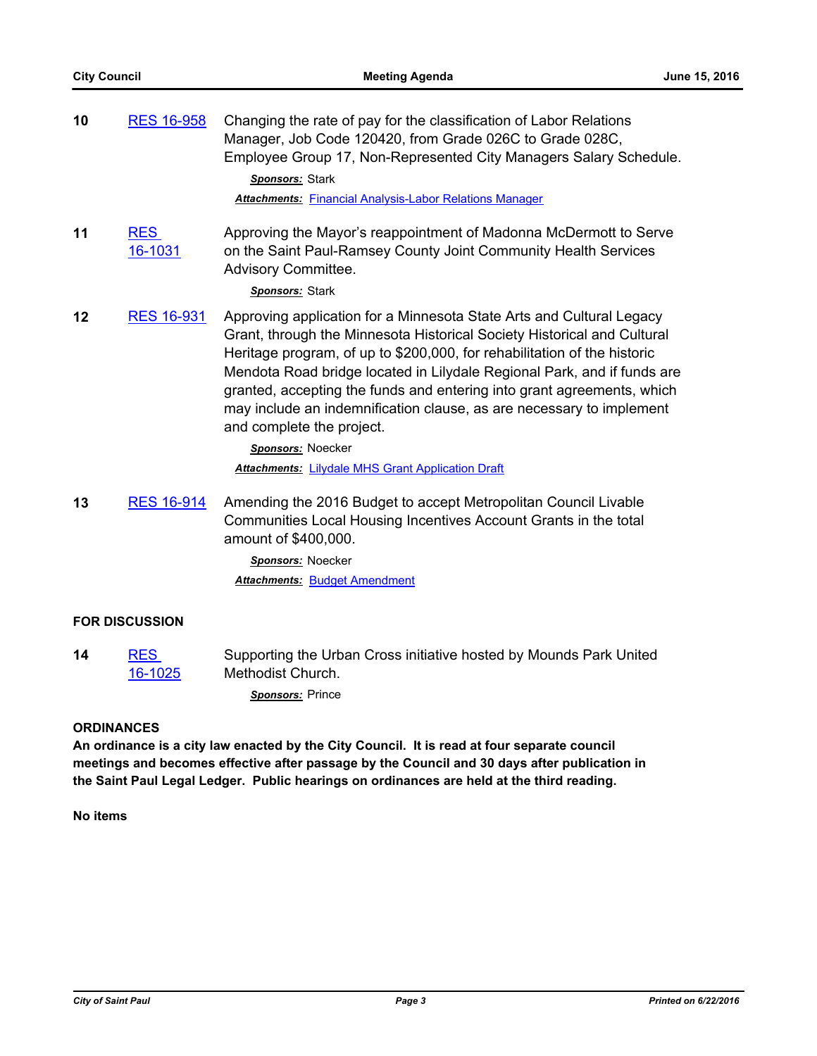| 10 | <b>RES 16-958</b>     | Changing the rate of pay for the classification of Labor Relations<br>Manager, Job Code 120420, from Grade 026C to Grade 028C,<br>Employee Group 17, Non-Represented City Managers Salary Schedule.<br>Sponsors: Stark<br><b>Attachments: Financial Analysis-Labor Relations Manager</b>                                                                                                                                                                                                                                                                               |
|----|-----------------------|------------------------------------------------------------------------------------------------------------------------------------------------------------------------------------------------------------------------------------------------------------------------------------------------------------------------------------------------------------------------------------------------------------------------------------------------------------------------------------------------------------------------------------------------------------------------|
| 11 | <b>RES</b><br>16-1031 | Approving the Mayor's reappointment of Madonna McDermott to Serve<br>on the Saint Paul-Ramsey County Joint Community Health Services<br>Advisory Committee.<br>Sponsors: Stark                                                                                                                                                                                                                                                                                                                                                                                         |
| 12 | <b>RES 16-931</b>     | Approving application for a Minnesota State Arts and Cultural Legacy<br>Grant, through the Minnesota Historical Society Historical and Cultural<br>Heritage program, of up to \$200,000, for rehabilitation of the historic<br>Mendota Road bridge located in Lilydale Regional Park, and if funds are<br>granted, accepting the funds and entering into grant agreements, which<br>may include an indemnification clause, as are necessary to implement<br>and complete the project.<br>Sponsors: Noecker<br><b>Attachments: Lilydale MHS Grant Application Draft</b> |
| 13 | <b>RES 16-914</b>     | Amending the 2016 Budget to accept Metropolitan Council Livable<br>Communities Local Housing Incentives Account Grants in the total<br>amount of \$400,000.<br>Sponsors: Noecker<br><b>Attachments: Budget Amendment</b>                                                                                                                                                                                                                                                                                                                                               |
|    | <b>FOR DISCUSSION</b> |                                                                                                                                                                                                                                                                                                                                                                                                                                                                                                                                                                        |
| 14 | <b>RES</b><br>16-1025 | Supporting the Urban Cross initiative hosted by Mounds Park United<br>Methodist Church.<br>Sponsors: Prince                                                                                                                                                                                                                                                                                                                                                                                                                                                            |

## **ORDINANCES**

**An ordinance is a city law enacted by the City Council. It is read at four separate council meetings and becomes effective after passage by the Council and 30 days after publication in the Saint Paul Legal Ledger. Public hearings on ordinances are held at the third reading.**

**No items**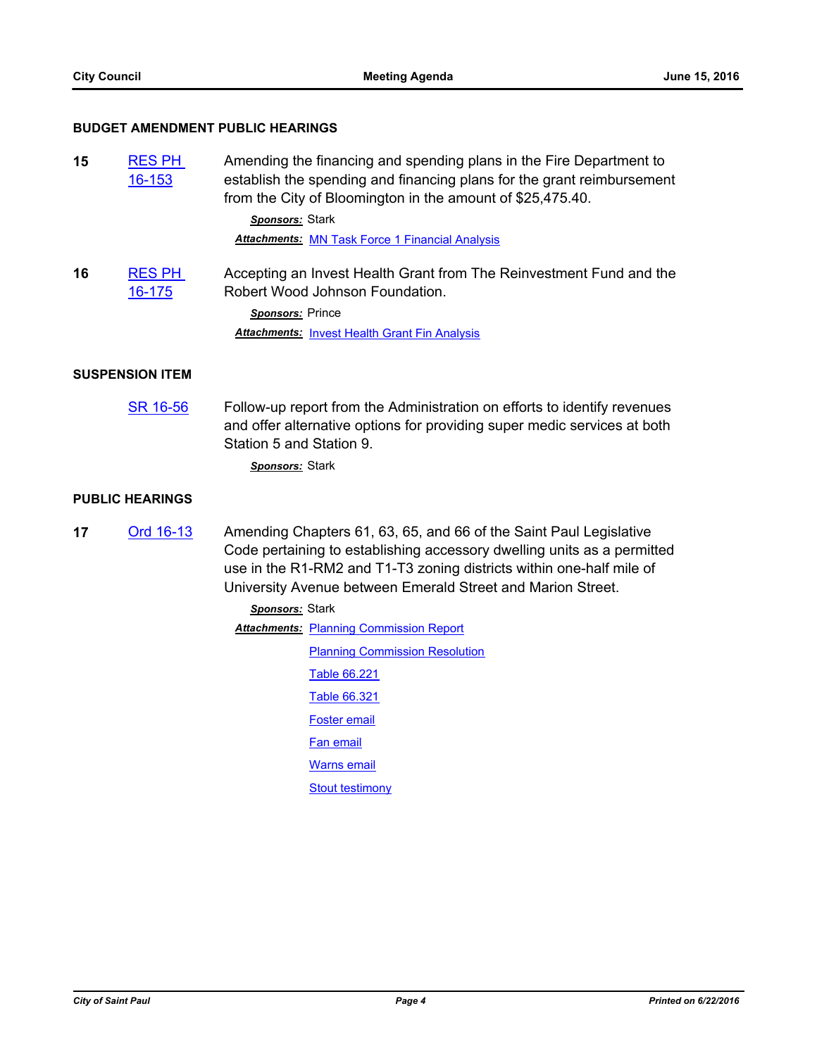## **BUDGET AMENDMENT PUBLIC HEARINGS**

| 15 | <b>RES PH</b><br>16-153     | Amending the financing and spending plans in the Fire Department to<br>establish the spending and financing plans for the grant reimbursement<br>from the City of Bloomington in the amount of \$25,475.40.                                                                          |  |
|----|-----------------------------|--------------------------------------------------------------------------------------------------------------------------------------------------------------------------------------------------------------------------------------------------------------------------------------|--|
|    |                             | Sponsors: Stark                                                                                                                                                                                                                                                                      |  |
|    |                             | <b>Attachments: MN Task Force 1 Financial Analysis</b>                                                                                                                                                                                                                               |  |
| 16 | <b>RES PH</b><br>$16 - 175$ | Accepting an Invest Health Grant from The Reinvestment Fund and the<br>Robert Wood Johnson Foundation.                                                                                                                                                                               |  |
|    |                             | Sponsors: Prince                                                                                                                                                                                                                                                                     |  |
|    |                             | <b>Attachments: Invest Health Grant Fin Analysis</b>                                                                                                                                                                                                                                 |  |
|    | <b>SUSPENSION ITEM</b>      |                                                                                                                                                                                                                                                                                      |  |
|    | SR 16-56                    | Follow-up report from the Administration on efforts to identify revenues<br>and offer alternative options for providing super medic services at both<br>Station 5 and Station 9.                                                                                                     |  |
|    |                             | Sponsors: Stark                                                                                                                                                                                                                                                                      |  |
|    | <b>PUBLIC HEARINGS</b>      |                                                                                                                                                                                                                                                                                      |  |
| 17 | Ord 16-13                   | Amending Chapters 61, 63, 65, and 66 of the Saint Paul Legislative<br>Code pertaining to establishing accessory dwelling units as a permitted<br>use in the R1-RM2 and T1-T3 zoning districts within one-half mile of<br>University Avenue between Emerald Street and Marion Street. |  |

*Sponsors:* Stark **Attachments: [Planning Commission Report](http://StPaul.legistar.com/gateway.aspx?M=F&ID=7246dee7-2677-432e-b841-89a95ebba703.pdf) [Planning Commission Resolution](http://StPaul.legistar.com/gateway.aspx?M=F&ID=679a4ef0-6949-423b-80f5-7072afa969a2.pdf)** [Table 66.221](http://StPaul.legistar.com/gateway.aspx?M=F&ID=585373c8-6c77-4e4a-8d22-e911a37a5485.pdf) [Table 66.321](http://StPaul.legistar.com/gateway.aspx?M=F&ID=a19f29ad-9af4-4e1c-abee-dbbc1a451bd0.pdf) [Foster email](http://StPaul.legistar.com/gateway.aspx?M=F&ID=820e7386-548e-4a86-a00a-1d02f353739c.pdf) [Fan email](http://StPaul.legistar.com/gateway.aspx?M=F&ID=c296f557-8ca1-4b0b-8482-b151793897ca.pdf) [Warns email](http://StPaul.legistar.com/gateway.aspx?M=F&ID=991172f3-b7af-49fe-92ca-cd2514466ca3.pdf) **[Stout testimony](http://StPaul.legistar.com/gateway.aspx?M=F&ID=3d645775-d69f-4a53-836b-3add53969317.pdf)**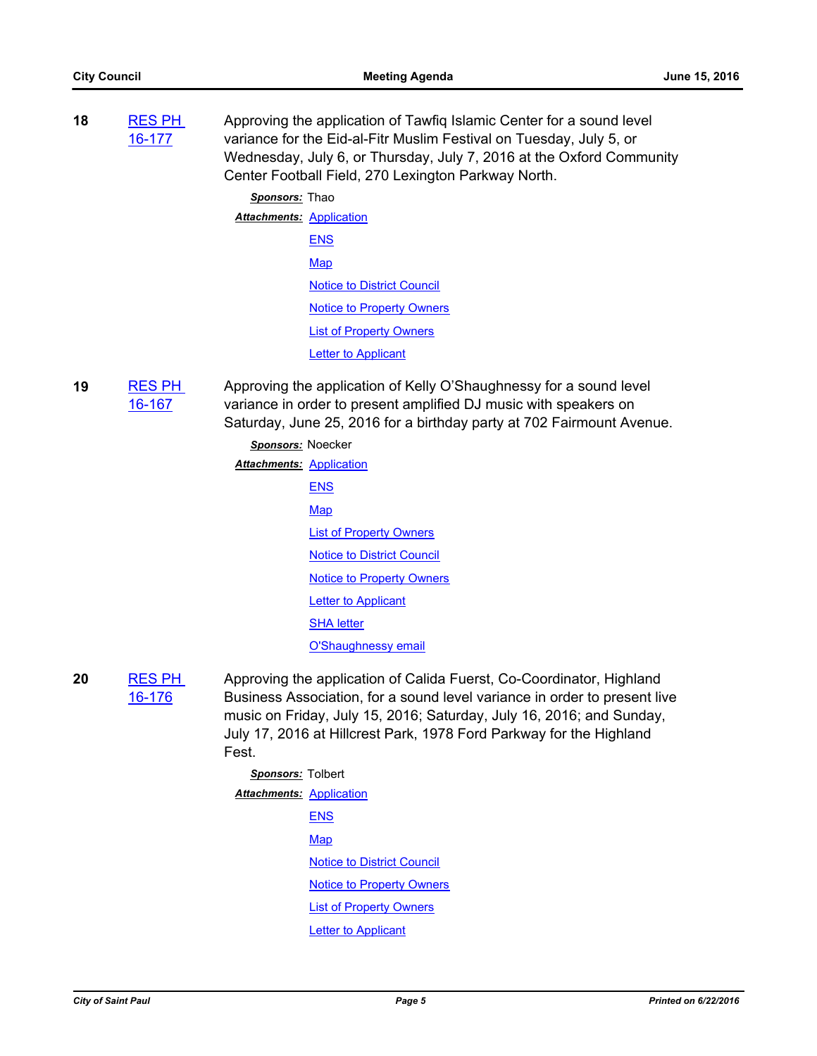**18** [RES PH](http://stpaul.legistar.com/gateway.aspx?m=l&id=/matter.aspx?key=21770)  16-177 Approving the application of Tawfiq Islamic Center for a sound level variance for the Eid-al-Fitr Muslim Festival on Tuesday, July 5, or Wednesday, July 6, or Thursday, July 7, 2016 at the Oxford Community Center Football Field, 270 Lexington Parkway North.

> *Sponsors:* Thao **Attachments: [Application](http://StPaul.legistar.com/gateway.aspx?M=F&ID=4a649e55-3126-42bd-8f26-65d48093caf6.pdf)** [ENS](http://StPaul.legistar.com/gateway.aspx?M=F&ID=dfc367fa-4847-4133-b2fd-3af11bef1bd7.pdf) [Map](http://StPaul.legistar.com/gateway.aspx?M=F&ID=92da9f34-fb35-497d-8289-7c3025330660.pdf) [Notice to District Council](http://StPaul.legistar.com/gateway.aspx?M=F&ID=9d6225b1-24c9-4170-8e32-c6e23e1574d8.pdf) [Notice to Property Owners](http://StPaul.legistar.com/gateway.aspx?M=F&ID=72a8e00b-f2e7-4a4c-82bd-9057d4550977.pdf) [List of Property Owners](http://StPaul.legistar.com/gateway.aspx?M=F&ID=825a485a-5ab3-48bf-ae89-f19ae194ad13.pdf) **[Letter to Applicant](http://StPaul.legistar.com/gateway.aspx?M=F&ID=260917bd-a198-4405-aca9-9fdccd8b420b.pdf)**

**19** [RES PH](http://stpaul.legistar.com/gateway.aspx?m=l&id=/matter.aspx?key=21728)  16-167 Approving the application of Kelly O'Shaughnessy for a sound level variance in order to present amplified DJ music with speakers on Saturday, June 25, 2016 for a birthday party at 702 Fairmount Avenue.

# *Sponsors:* Noecker **Attachments: [Application](http://StPaul.legistar.com/gateway.aspx?M=F&ID=0ef20e79-9b9f-4b2f-bc8f-87188c71cb39.pdf) [ENS](http://StPaul.legistar.com/gateway.aspx?M=F&ID=b49a905d-716d-4d9a-82c9-55b2f1d7c82c.pdf)** [Map](http://StPaul.legistar.com/gateway.aspx?M=F&ID=66d17fc4-ccde-46e9-8390-747e744f1fd5.pdf) [List of Property Owners](http://StPaul.legistar.com/gateway.aspx?M=F&ID=c4b6f398-018a-4d71-95e2-a765d26426f4.pdf) [Notice to District Council](http://StPaul.legistar.com/gateway.aspx?M=F&ID=6eb13b67-b898-4afb-94fb-66964d4623ef.pdf) [Notice to Property Owners](http://StPaul.legistar.com/gateway.aspx?M=F&ID=f4184cc1-00a5-43c8-ae9f-0103f7d6ca38.pdf) **[Letter to Applicant](http://StPaul.legistar.com/gateway.aspx?M=F&ID=14b137be-02a7-4406-94df-d12742785525.pdf)** [SHA letter](http://StPaul.legistar.com/gateway.aspx?M=F&ID=2b2e1905-269a-4a6a-9037-9cd4e94966d1.pdf) **[O'Shaughnessy email](http://StPaul.legistar.com/gateway.aspx?M=F&ID=0b297c43-22ec-4df4-b0b3-d8d2a6b37b3f.pdf)**

- **20** [RES PH](http://stpaul.legistar.com/gateway.aspx?m=l&id=/matter.aspx?key=21768)  16-176 Approving the application of Calida Fuerst, Co-Coordinator, Highland Business Association, for a sound level variance in order to present live music on Friday, July 15, 2016; Saturday, July 16, 2016; and Sunday, July 17, 2016 at Hillcrest Park, 1978 Ford Parkway for the Highland Fest.
	- *Sponsors:* Tolbert **Attachments: [Application](http://StPaul.legistar.com/gateway.aspx?M=F&ID=e1708cd4-c7a6-49fb-8b87-a7990721ea25.pdf)** [ENS](http://StPaul.legistar.com/gateway.aspx?M=F&ID=dea62465-3816-4e7e-be88-44dbd538d270.pdf) **[Map](http://StPaul.legistar.com/gateway.aspx?M=F&ID=e878ecf4-8501-4dad-8dc6-067b4ce639a5.pdf)** [Notice to District Council](http://StPaul.legistar.com/gateway.aspx?M=F&ID=f9d10014-ae9f-43a5-987a-0d5a60730cd5.pdf) [Notice to Property Owners](http://StPaul.legistar.com/gateway.aspx?M=F&ID=c8216457-02fa-4b32-a648-42c0fa1938e2.pdf) [List of Property Owners](http://StPaul.legistar.com/gateway.aspx?M=F&ID=6818d2a1-e17a-486d-afa7-10d0ddf5b99f.pdf) **[Letter to Applicant](http://StPaul.legistar.com/gateway.aspx?M=F&ID=6d011282-6ad5-4a18-9991-76387118be85.pdf)**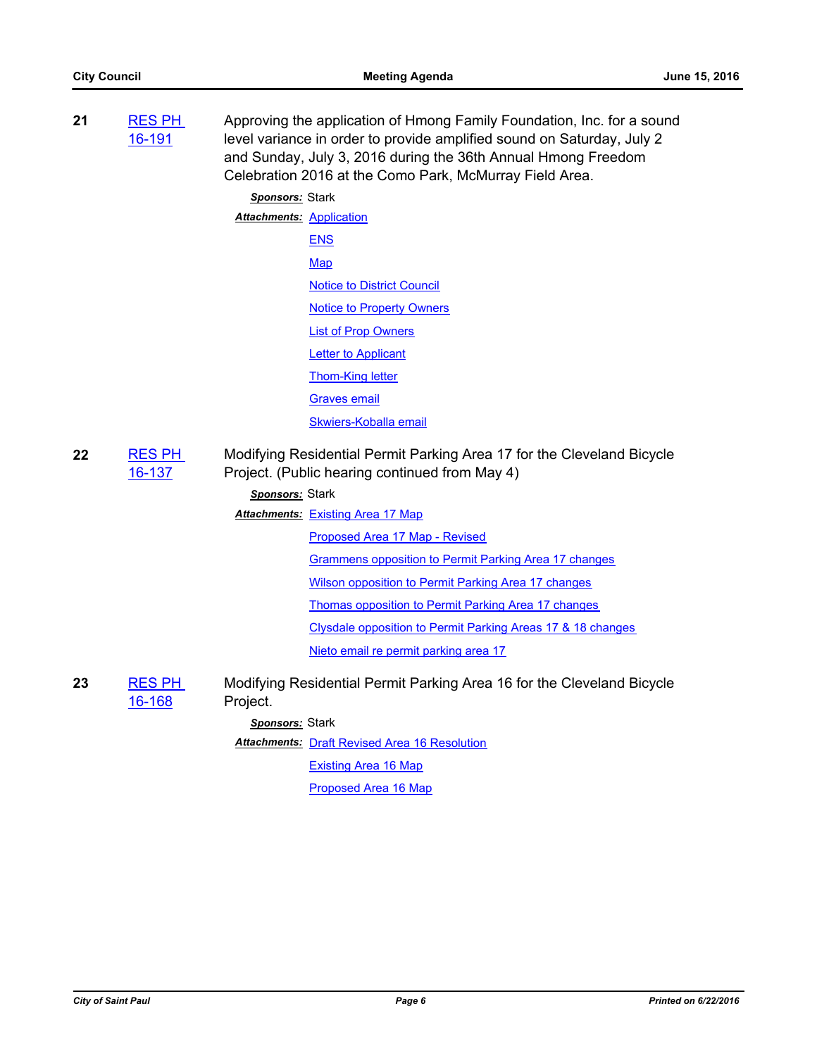| 21 | <b>RES PH</b><br>16-191 | Approving the application of Hmong Family Foundation, Inc. for a sound<br>level variance in order to provide amplified sound on Saturday, July 2<br>and Sunday, July 3, 2016 during the 36th Annual Hmong Freedom<br>Celebration 2016 at the Como Park, McMurray Field Area. |
|----|-------------------------|------------------------------------------------------------------------------------------------------------------------------------------------------------------------------------------------------------------------------------------------------------------------------|
|    |                         | Sponsors: Stark                                                                                                                                                                                                                                                              |
|    |                         | <b>Attachments: Application</b>                                                                                                                                                                                                                                              |
|    |                         | <b>ENS</b>                                                                                                                                                                                                                                                                   |
|    |                         | Map                                                                                                                                                                                                                                                                          |
|    |                         | <b>Notice to District Council</b>                                                                                                                                                                                                                                            |
|    |                         | <b>Notice to Property Owners</b>                                                                                                                                                                                                                                             |
|    |                         | <b>List of Prop Owners</b>                                                                                                                                                                                                                                                   |
|    |                         | <b>Letter to Applicant</b>                                                                                                                                                                                                                                                   |
|    |                         | <b>Thom-King letter</b>                                                                                                                                                                                                                                                      |
|    |                         | <b>Graves email</b>                                                                                                                                                                                                                                                          |
|    |                         | Skwiers-Koballa email                                                                                                                                                                                                                                                        |
| 22 | <b>RES PH</b><br>16-137 | Modifying Residential Permit Parking Area 17 for the Cleveland Bicycle<br>Project. (Public hearing continued from May 4)                                                                                                                                                     |
|    |                         | Sponsors: Stark                                                                                                                                                                                                                                                              |
|    |                         | <b>Attachments: Existing Area 17 Map</b>                                                                                                                                                                                                                                     |
|    |                         | Proposed Area 17 Map - Revised                                                                                                                                                                                                                                               |
|    |                         | Grammens opposition to Permit Parking Area 17 changes                                                                                                                                                                                                                        |
|    |                         | Wilson opposition to Permit Parking Area 17 changes                                                                                                                                                                                                                          |
|    |                         | Thomas opposition to Permit Parking Area 17 changes                                                                                                                                                                                                                          |
|    |                         | Clysdale opposition to Permit Parking Areas 17 & 18 changes                                                                                                                                                                                                                  |
|    |                         | Nieto email re permit parking area 17                                                                                                                                                                                                                                        |
| 23 | <b>RES PH</b><br>16-168 | Modifying Residential Permit Parking Area 16 for the Cleveland Bicycle<br>Project.                                                                                                                                                                                           |
|    |                         | Sponsors: Stark                                                                                                                                                                                                                                                              |
|    |                         | <b>Attachments: Draft Revised Area 16 Resolution</b>                                                                                                                                                                                                                         |
|    |                         | <b>Existing Area 16 Map</b>                                                                                                                                                                                                                                                  |
|    |                         | Proposed Area 16 Map                                                                                                                                                                                                                                                         |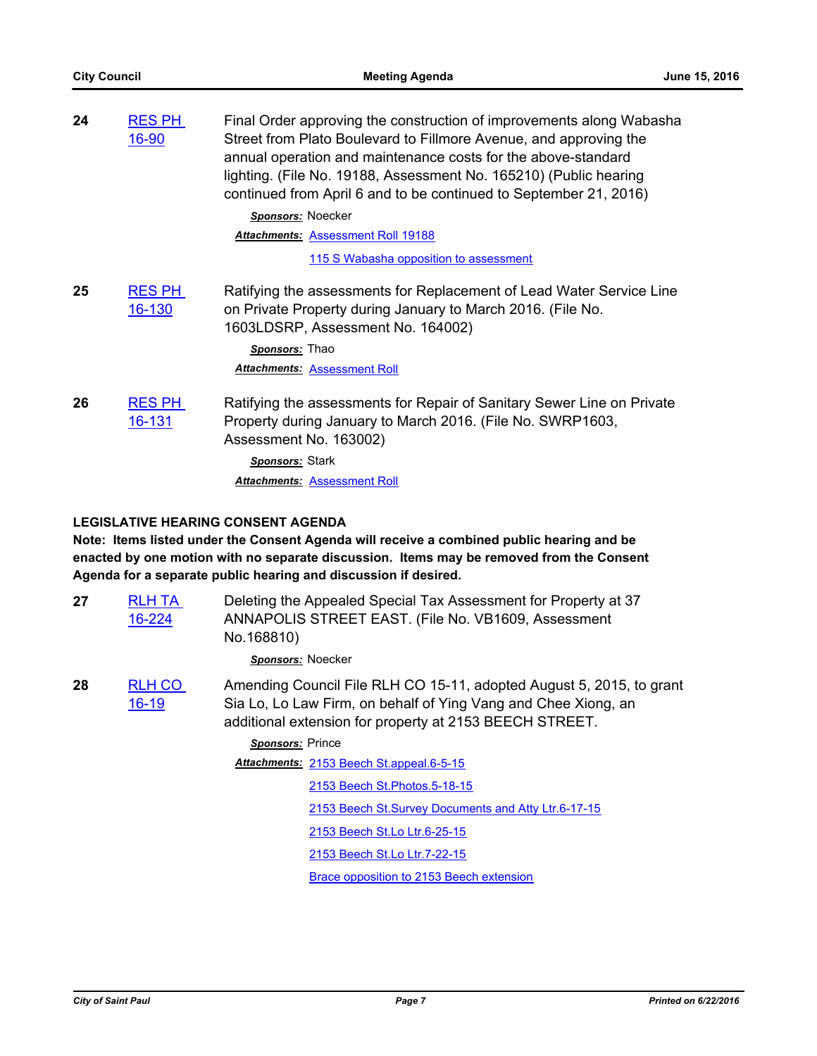| 24 | <b>RES PH</b><br>16-90  | Final Order approving the construction of improvements along Wabasha<br>Street from Plato Boulevard to Fillmore Avenue, and approving the<br>annual operation and maintenance costs for the above-standard<br>lighting. (File No. 19188, Assessment No. 165210) (Public hearing<br>continued from April 6 and to be continued to September 21, 2016)<br>Sponsors: Noecker<br><b>Attachments: Assessment Roll 19188</b><br>115 S Wabasha opposition to assessment |
|----|-------------------------|------------------------------------------------------------------------------------------------------------------------------------------------------------------------------------------------------------------------------------------------------------------------------------------------------------------------------------------------------------------------------------------------------------------------------------------------------------------|
| 25 | <b>RES PH</b><br>16-130 | Ratifying the assessments for Replacement of Lead Water Service Line<br>on Private Property during January to March 2016. (File No.<br>1603LDSRP, Assessment No. 164002)<br>Sponsors: Thao<br><b>Attachments: Assessment Roll</b>                                                                                                                                                                                                                                |
| 26 | <b>RES PH</b><br>16-131 | Ratifying the assessments for Repair of Sanitary Sewer Line on Private<br>Property during January to March 2016. (File No. SWRP1603,<br>Assessment No. 163002)<br>Sponsors: Stark<br><b>Attachments: Assessment Roll</b>                                                                                                                                                                                                                                         |

# **LEGISLATIVE HEARING CONSENT AGENDA**

**Note: Items listed under the Consent Agenda will receive a combined public hearing and be enacted by one motion with no separate discussion. Items may be removed from the Consent Agenda for a separate public hearing and discussion if desired.**

| 27 | <b>RLH TA</b><br>16-224    | Deleting the Appealed Special Tax Assessment for Property at 37<br>ANNAPOLIS STREET EAST. (File No. VB1609, Assessment<br>No.168810)                                                              |
|----|----------------------------|---------------------------------------------------------------------------------------------------------------------------------------------------------------------------------------------------|
|    |                            | Sponsors: Noecker                                                                                                                                                                                 |
| 28 | <b>RLH CO</b><br>$16 - 19$ | Amending Council File RLH CO 15-11, adopted August 5, 2015, to grant<br>Sia Lo, Lo Law Firm, on behalf of Ying Vang and Chee Xiong, an<br>additional extension for property at 2153 BEECH STREET. |
|    |                            | Sponsors: Prince                                                                                                                                                                                  |
|    |                            | Attachments: 2153 Beech St. appeal. 6-5-15                                                                                                                                                        |
|    |                            | 2153 Beech St. Photos. 5-18-15                                                                                                                                                                    |
|    |                            | 2153 Beech St.Survey Documents and Atty Ltr.6-17-15                                                                                                                                               |
|    |                            | 2153 Beech St.Lo Ltr.6-25-15                                                                                                                                                                      |
|    |                            | 2153 Beech St.Lo Ltr.7-22-15                                                                                                                                                                      |

[Brace opposition to 2153 Beech extension](http://StPaul.legistar.com/gateway.aspx?M=F&ID=4b496230-34be-4585-afce-bbc620715494.pdf)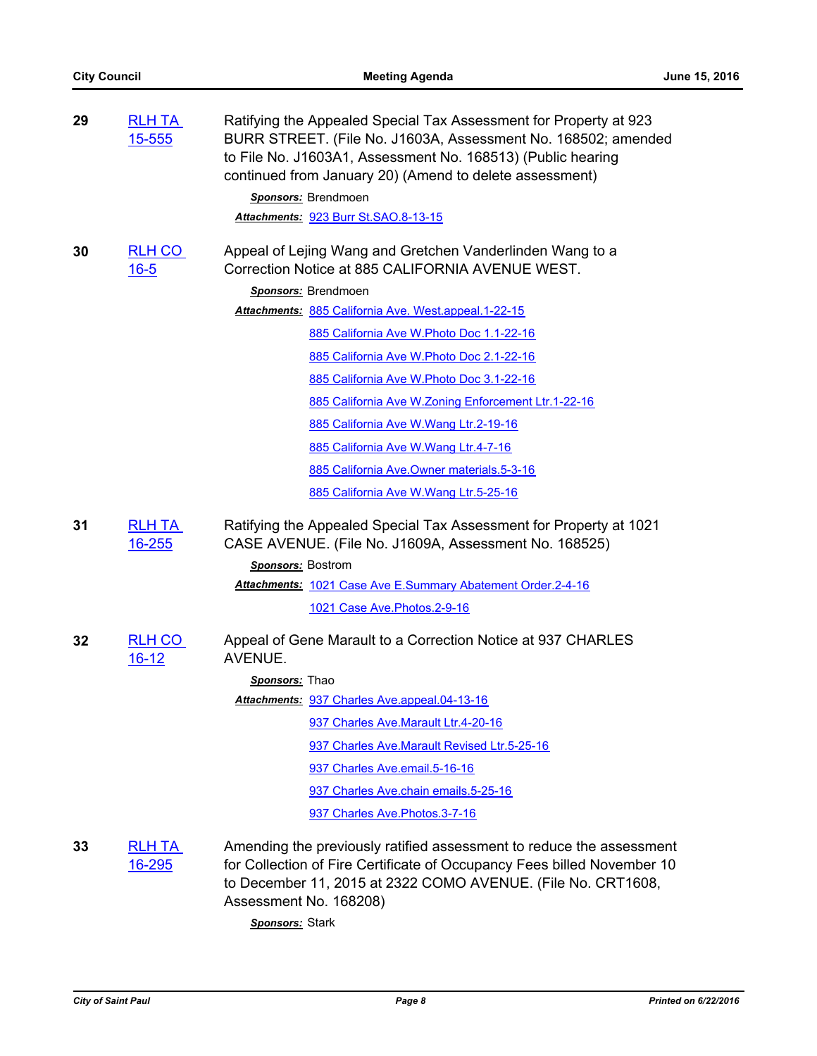| 29 | <b>RLH TA</b><br>15-555     | Ratifying the Appealed Special Tax Assessment for Property at 923<br>BURR STREET. (File No. J1603A, Assessment No. 168502; amended<br>to File No. J1603A1, Assessment No. 168513) (Public hearing<br>continued from January 20) (Amend to delete assessment)<br>Sponsors: Brendmoen<br>Attachments: 923 Burr St.SAO.8-13-15                                                                                                                                                                                                                                           |
|----|-----------------------------|-----------------------------------------------------------------------------------------------------------------------------------------------------------------------------------------------------------------------------------------------------------------------------------------------------------------------------------------------------------------------------------------------------------------------------------------------------------------------------------------------------------------------------------------------------------------------|
| 30 | <b>RLH CO</b><br>$16 - 5$   | Appeal of Lejing Wang and Gretchen Vanderlinden Wang to a<br>Correction Notice at 885 CALIFORNIA AVENUE WEST.<br>Sponsors: Brendmoen<br>Attachments: 885 California Ave. West.appeal.1-22-15<br>885 California Ave W. Photo Doc 1.1-22-16<br>885 California Ave W. Photo Doc 2.1-22-16<br>885 California Ave W. Photo Doc 3.1-22-16<br>885 California Ave W.Zoning Enforcement Ltr.1-22-16<br>885 California Ave W. Wang Ltr. 2-19-16<br>885 California Ave W.Wang Ltr.4-7-16<br>885 California Ave.Owner materials.5-3-16<br>885 California Ave W. Wang Ltr. 5-25-16 |
| 31 | <b>RLH TA</b><br>$16 - 255$ | Ratifying the Appealed Special Tax Assessment for Property at 1021<br>CASE AVENUE. (File No. J1609A, Assessment No. 168525)<br>Sponsors: Bostrom<br>Attachments: 1021 Case Ave E.Summary Abatement Order.2-4-16<br>1021 Case Ave. Photos. 2-9-16                                                                                                                                                                                                                                                                                                                      |
| 32 | RLH CO<br><u>16-12</u>      | Appeal of Gene Marault to a Correction Notice at 937 CHARLES<br>AVENUE.<br>Sponsors: Thao<br>Attachments: 937 Charles Ave.appeal.04-13-16<br>937 Charles Ave.Marault Ltr.4-20-16<br>937 Charles Ave. Marault Revised Ltr. 5-25-16<br>937 Charles Ave.email.5-16-16<br>937 Charles Ave.chain emails.5-25-16<br>937 Charles Ave. Photos. 3-7-16                                                                                                                                                                                                                         |
| 33 | <b>RLH TA</b><br>16-295     | Amending the previously ratified assessment to reduce the assessment<br>for Collection of Fire Certificate of Occupancy Fees billed November 10<br>to December 11, 2015 at 2322 COMO AVENUE. (File No. CRT1608,<br>Assessment No. 168208)                                                                                                                                                                                                                                                                                                                             |

*Sponsors:* Stark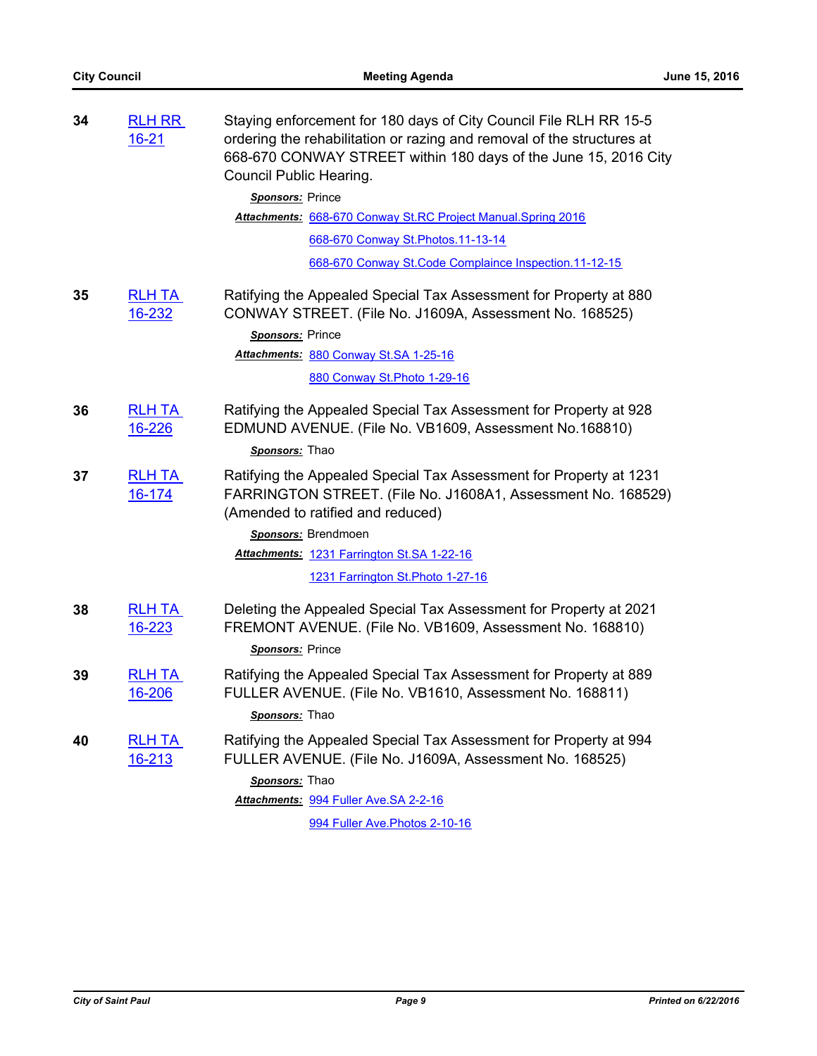| 34 | <b>RLH RR</b><br>$16 - 21$ | Staying enforcement for 180 days of City Council File RLH RR 15-5<br>ordering the rehabilitation or razing and removal of the structures at<br>668-670 CONWAY STREET within 180 days of the June 15, 2016 City<br>Council Public Hearing. |
|----|----------------------------|-------------------------------------------------------------------------------------------------------------------------------------------------------------------------------------------------------------------------------------------|
|    |                            | Sponsors: Prince                                                                                                                                                                                                                          |
|    |                            | Attachments: 668-670 Conway St.RC Project Manual.Spring 2016                                                                                                                                                                              |
|    |                            | 668-670 Conway St. Photos. 11-13-14                                                                                                                                                                                                       |
|    |                            | 668-670 Conway St. Code Complaince Inspection. 11-12-15                                                                                                                                                                                   |
| 35 | <b>RLH TA</b><br>16-232    | Ratifying the Appealed Special Tax Assessment for Property at 880<br>CONWAY STREET. (File No. J1609A, Assessment No. 168525)                                                                                                              |
|    |                            | Sponsors: Prince                                                                                                                                                                                                                          |
|    |                            | Attachments: 880 Conway St.SA 1-25-16                                                                                                                                                                                                     |
|    |                            | 880 Conway St. Photo 1-29-16                                                                                                                                                                                                              |
| 36 | <b>RLH TA</b><br>16-226    | Ratifying the Appealed Special Tax Assessment for Property at 928<br>EDMUND AVENUE. (File No. VB1609, Assessment No.168810)<br>Sponsors: Thao                                                                                             |
| 37 | <b>RLH TA</b><br>16-174    | Ratifying the Appealed Special Tax Assessment for Property at 1231<br>FARRINGTON STREET. (File No. J1608A1, Assessment No. 168529)<br>(Amended to ratified and reduced)                                                                   |
|    |                            | Sponsors: Brendmoen                                                                                                                                                                                                                       |
|    |                            | Attachments: 1231 Farrington St.SA 1-22-16                                                                                                                                                                                                |
|    |                            | 1231 Farrington St. Photo 1-27-16                                                                                                                                                                                                         |
| 38 | <b>RLH TA</b><br>16-223    | Deleting the Appealed Special Tax Assessment for Property at 2021<br>FREMONT AVENUE. (File No. VB1609, Assessment No. 168810)                                                                                                             |
|    |                            | Sponsors: Prince                                                                                                                                                                                                                          |
| 39 | <b>RLH TA</b><br>16-206    | Ratifying the Appealed Special Tax Assessment for Property at 889<br>FULLER AVENUE. (File No. VB1610, Assessment No. 168811)                                                                                                              |
|    |                            | Sponsors: Thao                                                                                                                                                                                                                            |
| 40 | <u>RLH TA</u><br>16-213    | Ratifying the Appealed Special Tax Assessment for Property at 994<br>FULLER AVENUE. (File No. J1609A, Assessment No. 168525)                                                                                                              |
|    |                            | Sponsors: Thao                                                                                                                                                                                                                            |
|    |                            | Attachments: 994 Fuller Ave.SA 2-2-16                                                                                                                                                                                                     |
|    |                            | 994 Fuller Ave. Photos 2-10-16                                                                                                                                                                                                            |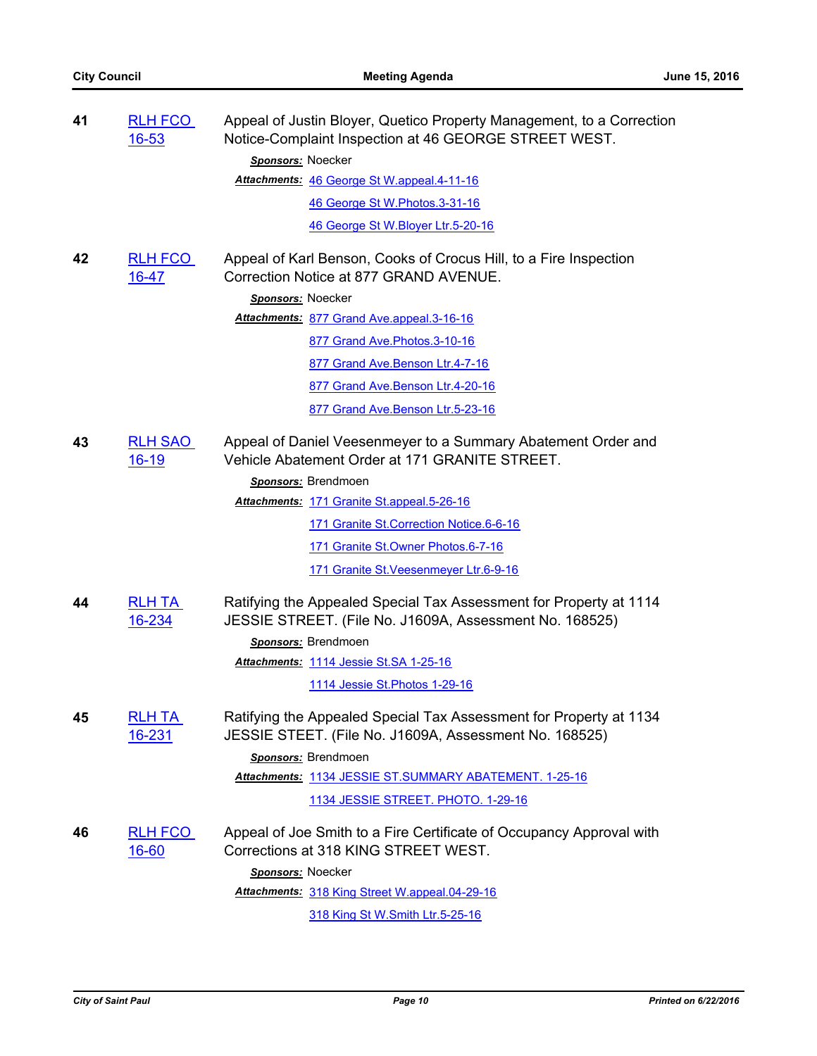| 41 | <b>RLH FCO</b><br>$16 - 53$ | Appeal of Justin Bloyer, Quetico Property Management, to a Correction<br>Notice-Complaint Inspection at 46 GEORGE STREET WEST. |
|----|-----------------------------|--------------------------------------------------------------------------------------------------------------------------------|
|    |                             | Sponsors: Noecker                                                                                                              |
|    |                             | Attachments: 46 George St W.appeal.4-11-16                                                                                     |
|    |                             | 46 George St W.Photos.3-31-16                                                                                                  |
|    |                             | 46 George St W.Bloyer Ltr.5-20-16                                                                                              |
| 42 | <b>RLH FCO</b><br>$16 - 47$ | Appeal of Karl Benson, Cooks of Crocus Hill, to a Fire Inspection<br>Correction Notice at 877 GRAND AVENUE.                    |
|    |                             | Sponsors: Noecker                                                                                                              |
|    |                             | Attachments: 877 Grand Ave.appeal.3-16-16                                                                                      |
|    |                             | 877 Grand Ave. Photos. 3-10-16                                                                                                 |
|    |                             | 877 Grand Ave. Benson Ltr. 4-7-16                                                                                              |
|    |                             | 877 Grand Ave. Benson Ltr. 4-20-16                                                                                             |
|    |                             | 877 Grand Ave.Benson Ltr.5-23-16                                                                                               |
| 43 | <b>RLH SAO</b><br>$16 - 19$ | Appeal of Daniel Veesenmeyer to a Summary Abatement Order and<br>Vehicle Abatement Order at 171 GRANITE STREET.                |
|    |                             | Sponsors: Brendmoen                                                                                                            |
|    |                             | Attachments: 171 Granite St.appeal.5-26-16                                                                                     |
|    |                             | 171 Granite St. Correction Notice. 6-6-16                                                                                      |
|    |                             | 171 Granite St. Owner Photos. 6-7-16                                                                                           |
|    |                             | 171 Granite St. Veesenmeyer Ltr.6-9-16                                                                                         |
| 44 | <b>RLH TA</b><br>16-234     | Ratifying the Appealed Special Tax Assessment for Property at 1114<br>JESSIE STREET. (File No. J1609A, Assessment No. 168525)  |
|    |                             | Sponsors: Brendmoen                                                                                                            |
|    |                             | <b>Attachments: 1114 Jessie St.SA 1-25-16</b>                                                                                  |
|    |                             | 1114 Jessie St. Photos 1-29-16                                                                                                 |
| 45 | <b>RLH TA</b><br>16-231     | Ratifying the Appealed Special Tax Assessment for Property at 1134<br>JESSIE STEET. (File No. J1609A, Assessment No. 168525)   |
|    |                             | Sponsors: Brendmoen                                                                                                            |
|    |                             | Attachments: 1134 JESSIE ST. SUMMARY ABATEMENT. 1-25-16                                                                        |
|    |                             | 1134 JESSIE STREET. PHOTO. 1-29-16                                                                                             |
| 46 | <b>RLH FCO</b><br>$16 - 60$ | Appeal of Joe Smith to a Fire Certificate of Occupancy Approval with<br>Corrections at 318 KING STREET WEST.                   |
|    |                             | Sponsors: Noecker                                                                                                              |
|    |                             | Attachments: 318 King Street W.appeal.04-29-16                                                                                 |
|    |                             | 318 King St W.Smith Ltr.5-25-16                                                                                                |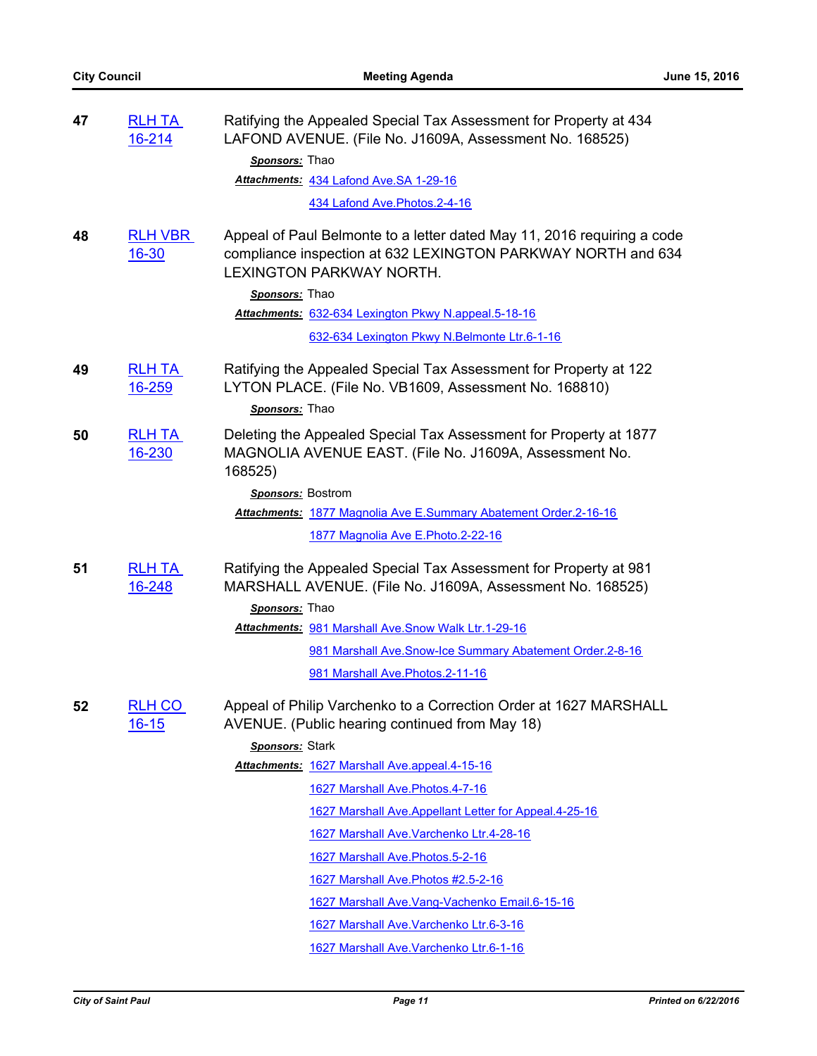| 47 | <b>RLH TA</b><br>16-214       | Ratifying the Appealed Special Tax Assessment for Property at 434<br>LAFOND AVENUE. (File No. J1609A, Assessment No. 168525)                                               |
|----|-------------------------------|----------------------------------------------------------------------------------------------------------------------------------------------------------------------------|
|    |                               | Sponsors: Thao                                                                                                                                                             |
|    |                               | Attachments: 434 Lafond Ave.SA 1-29-16                                                                                                                                     |
|    |                               | 434 Lafond Ave. Photos. 2-4-16                                                                                                                                             |
| 48 | <b>RLH VBR</b><br>$16 - 30$   | Appeal of Paul Belmonte to a letter dated May 11, 2016 requiring a code<br>compliance inspection at 632 LEXINGTON PARKWAY NORTH and 634<br><b>LEXINGTON PARKWAY NORTH.</b> |
|    |                               | Sponsors: Thao                                                                                                                                                             |
|    |                               | Attachments: 632-634 Lexington Pkwy N.appeal.5-18-16                                                                                                                       |
|    |                               | 632-634 Lexington Pkwy N.Belmonte Ltr.6-1-16                                                                                                                               |
| 49 | <b>RLH TA</b><br>16-259       | Ratifying the Appealed Special Tax Assessment for Property at 122<br>LYTON PLACE. (File No. VB1609, Assessment No. 168810)                                                 |
|    |                               | Sponsors: Thao                                                                                                                                                             |
| 50 | <b>RLH TA</b><br>16-230       | Deleting the Appealed Special Tax Assessment for Property at 1877<br>MAGNOLIA AVENUE EAST. (File No. J1609A, Assessment No.<br>168525)                                     |
|    |                               | <b>Sponsors:</b> Bostrom                                                                                                                                                   |
|    |                               | Attachments: 1877 Magnolia Ave E.Summary Abatement Order.2-16-16                                                                                                           |
|    |                               | 1877 Magnolia Ave E.Photo.2-22-16                                                                                                                                          |
| 51 | <b>RLH TA</b><br>16-248       | Ratifying the Appealed Special Tax Assessment for Property at 981<br>MARSHALL AVENUE. (File No. J1609A, Assessment No. 168525)<br>Sponsors: Thao                           |
|    |                               | <b>Attachments: 981 Marshall Ave. Snow Walk Ltr. 1-29-16</b>                                                                                                               |
|    |                               | 981 Marshall Ave.Snow-Ice Summary Abatement Order.2-8-16                                                                                                                   |
|    |                               | 981 Marshall Ave. Photos. 2-11-16                                                                                                                                          |
| 52 | <b>RLH CO</b><br><u>16-15</u> | Appeal of Philip Varchenko to a Correction Order at 1627 MARSHALL<br>AVENUE. (Public hearing continued from May 18)                                                        |
|    |                               | Sponsors: Stark                                                                                                                                                            |
|    |                               | Attachments: 1627 Marshall Ave.appeal.4-15-16                                                                                                                              |
|    |                               | 1627 Marshall Ave. Photos. 4-7-16                                                                                                                                          |
|    |                               | 1627 Marshall Ave. Appellant Letter for Appeal. 4-25-16                                                                                                                    |
|    |                               | 1627 Marshall Ave. Varchenko Ltr. 4-28-16                                                                                                                                  |
|    |                               | 1627 Marshall Ave. Photos. 5-2-16                                                                                                                                          |
|    |                               | 1627 Marshall Ave. Photos #2.5-2-16                                                                                                                                        |
|    |                               | 1627 Marshall Ave. Vang-Vachenko Email. 6-15-16                                                                                                                            |
|    |                               | 1627 Marshall Ave. Varchenko Ltr.6-3-16                                                                                                                                    |
|    |                               | 1627 Marshall Ave. Varchenko Ltr.6-1-16                                                                                                                                    |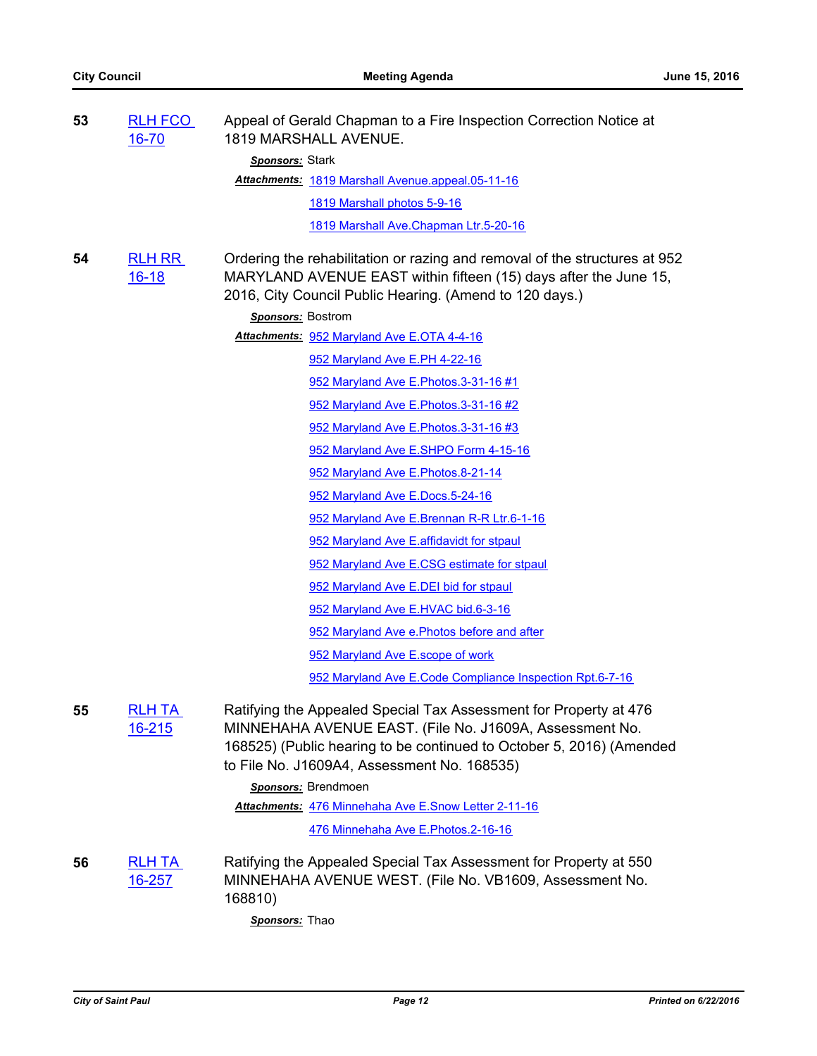| 53 | <b>RLH FCO</b><br>16-70        | Appeal of Gerald Chapman to a Fire Inspection Correction Notice at<br>1819 MARSHALL AVENUE.                                                                                                                                                         |
|----|--------------------------------|-----------------------------------------------------------------------------------------------------------------------------------------------------------------------------------------------------------------------------------------------------|
|    |                                | Sponsors: Stark                                                                                                                                                                                                                                     |
|    |                                | Attachments: 1819 Marshall Avenue.appeal.05-11-16                                                                                                                                                                                                   |
|    |                                | 1819 Marshall photos 5-9-16                                                                                                                                                                                                                         |
|    |                                | 1819 Marshall Ave. Chapman Ltr. 5-20-16                                                                                                                                                                                                             |
| 54 | <b>RLH RR</b><br>$16 - 18$     | Ordering the rehabilitation or razing and removal of the structures at 952<br>MARYLAND AVENUE EAST within fifteen (15) days after the June 15,<br>2016, City Council Public Hearing. (Amend to 120 days.)                                           |
|    |                                | Sponsors: Bostrom                                                                                                                                                                                                                                   |
|    |                                | Attachments: 952 Maryland Ave E.OTA 4-4-16                                                                                                                                                                                                          |
|    |                                | 952 Maryland Ave E.PH 4-22-16                                                                                                                                                                                                                       |
|    |                                | 952 Maryland Ave E. Photos. 3-31-16 #1                                                                                                                                                                                                              |
|    |                                | 952 Maryland Ave E. Photos. 3-31-16 #2                                                                                                                                                                                                              |
|    |                                | 952 Maryland Ave E. Photos. 3-31-16 #3                                                                                                                                                                                                              |
|    |                                | 952 Maryland Ave E.SHPO Form 4-15-16                                                                                                                                                                                                                |
|    |                                | 952 Maryland Ave E. Photos. 8-21-14                                                                                                                                                                                                                 |
|    |                                | 952 Maryland Ave E.Docs.5-24-16                                                                                                                                                                                                                     |
|    |                                | 952 Maryland Ave E.Brennan R-R Ltr.6-1-16                                                                                                                                                                                                           |
|    |                                | 952 Maryland Ave E.affidavidt for stpaul                                                                                                                                                                                                            |
|    |                                | 952 Maryland Ave E.CSG estimate for stpaul                                                                                                                                                                                                          |
|    |                                | 952 Maryland Ave E.DEI bid for stpaul                                                                                                                                                                                                               |
|    |                                | 952 Maryland Ave E.HVAC bid.6-3-16                                                                                                                                                                                                                  |
|    |                                | 952 Maryland Ave e. Photos before and after                                                                                                                                                                                                         |
|    |                                | 952 Maryland Ave E.scope of work                                                                                                                                                                                                                    |
|    |                                | 952 Maryland Ave E.Code Compliance Inspection Rpt.6-7-16                                                                                                                                                                                            |
| 55 | <b>RLH TA</b><br><u>16-215</u> | Ratifying the Appealed Special Tax Assessment for Property at 476<br>MINNEHAHA AVENUE EAST. (File No. J1609A, Assessment No.<br>168525) (Public hearing to be continued to October 5, 2016) (Amended<br>to File No. J1609A4, Assessment No. 168535) |
|    |                                | Sponsors: Brendmoen                                                                                                                                                                                                                                 |
|    |                                | Attachments: 476 Minnehaha Ave E.Snow Letter 2-11-16                                                                                                                                                                                                |
|    |                                | 476 Minnehaha Ave E.Photos.2-16-16                                                                                                                                                                                                                  |
| 56 | <u>RLH TA</u><br><u>16-257</u> | Ratifying the Appealed Special Tax Assessment for Property at 550<br>MINNEHAHA AVENUE WEST. (File No. VB1609, Assessment No.<br>168810)                                                                                                             |
|    |                                | Sponsors: Thao                                                                                                                                                                                                                                      |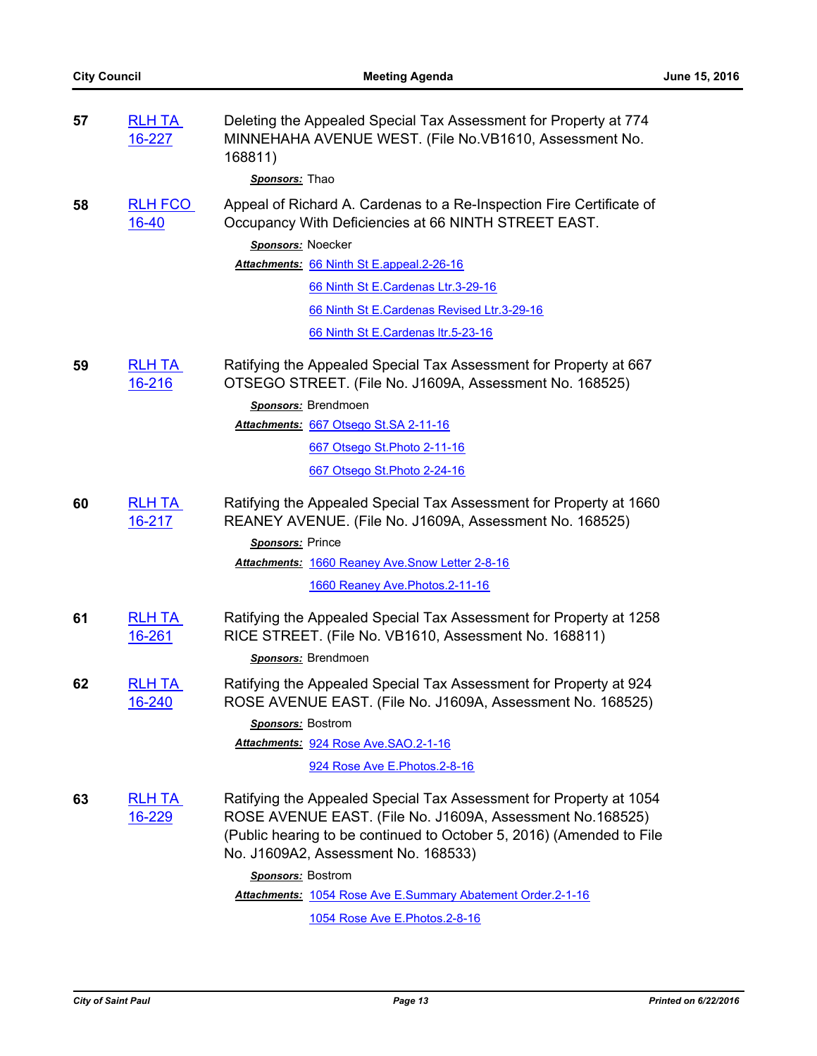| 57 | <b>RLH TA</b><br>16-227        | Deleting the Appealed Special Tax Assessment for Property at 774<br>MINNEHAHA AVENUE WEST. (File No. VB1610, Assessment No.<br>168811)<br>Sponsors: Thao                                                                                                                   |
|----|--------------------------------|----------------------------------------------------------------------------------------------------------------------------------------------------------------------------------------------------------------------------------------------------------------------------|
| 58 | <b>RLH FCO</b><br>$16 - 40$    | Appeal of Richard A. Cardenas to a Re-Inspection Fire Certificate of<br>Occupancy With Deficiencies at 66 NINTH STREET EAST.                                                                                                                                               |
|    |                                | Sponsors: Noecker                                                                                                                                                                                                                                                          |
|    |                                | Attachments: 66 Ninth St E.appeal.2-26-16                                                                                                                                                                                                                                  |
|    |                                | 66 Ninth St E.Cardenas Ltr.3-29-16                                                                                                                                                                                                                                         |
|    |                                | 66 Ninth St E.Cardenas Revised Ltr.3-29-16                                                                                                                                                                                                                                 |
|    |                                | 66 Ninth St E.Cardenas Itr.5-23-16                                                                                                                                                                                                                                         |
| 59 | <b>RLH TA</b><br>16-216        | Ratifying the Appealed Special Tax Assessment for Property at 667<br>OTSEGO STREET. (File No. J1609A, Assessment No. 168525)                                                                                                                                               |
|    |                                | Sponsors: Brendmoen                                                                                                                                                                                                                                                        |
|    |                                | Attachments: 667 Otsego St.SA 2-11-16                                                                                                                                                                                                                                      |
|    |                                | 667 Otsego St. Photo 2-11-16                                                                                                                                                                                                                                               |
|    |                                | 667 Otsego St. Photo 2-24-16                                                                                                                                                                                                                                               |
| 60 | <b>RLH TA</b><br>16-217        | Ratifying the Appealed Special Tax Assessment for Property at 1660<br>REANEY AVENUE. (File No. J1609A, Assessment No. 168525)<br>Sponsors: Prince                                                                                                                          |
|    |                                | Attachments: 1660 Reaney Ave. Snow Letter 2-8-16                                                                                                                                                                                                                           |
|    |                                | 1660 Reaney Ave. Photos. 2-11-16                                                                                                                                                                                                                                           |
| 61 | <b>RLH TA</b><br>16-261        | Ratifying the Appealed Special Tax Assessment for Property at 1258<br>RICE STREET. (File No. VB1610, Assessment No. 168811)                                                                                                                                                |
|    |                                | Sponsors: Brendmoen                                                                                                                                                                                                                                                        |
| 62 | <b>RLH TA</b><br>16-240        | Ratifying the Appealed Special Tax Assessment for Property at 924<br>ROSE AVENUE EAST. (File No. J1609A, Assessment No. 168525)                                                                                                                                            |
|    |                                | Sponsors: Bostrom                                                                                                                                                                                                                                                          |
|    |                                | Attachments: 924 Rose Ave.SAO.2-1-16                                                                                                                                                                                                                                       |
|    |                                | 924 Rose Ave E. Photos. 2-8-16                                                                                                                                                                                                                                             |
| 63 | <b>RLH TA</b><br><u>16-229</u> | Ratifying the Appealed Special Tax Assessment for Property at 1054<br>ROSE AVENUE EAST. (File No. J1609A, Assessment No.168525)<br>(Public hearing to be continued to October 5, 2016) (Amended to File<br>No. J1609A2, Assessment No. 168533)<br><b>Sponsors: Bostrom</b> |
|    |                                | Attachments: 1054 Rose Ave E.Summary Abatement Order.2-1-16                                                                                                                                                                                                                |
|    |                                | 1054 Rose Ave E. Photos. 2-8-16                                                                                                                                                                                                                                            |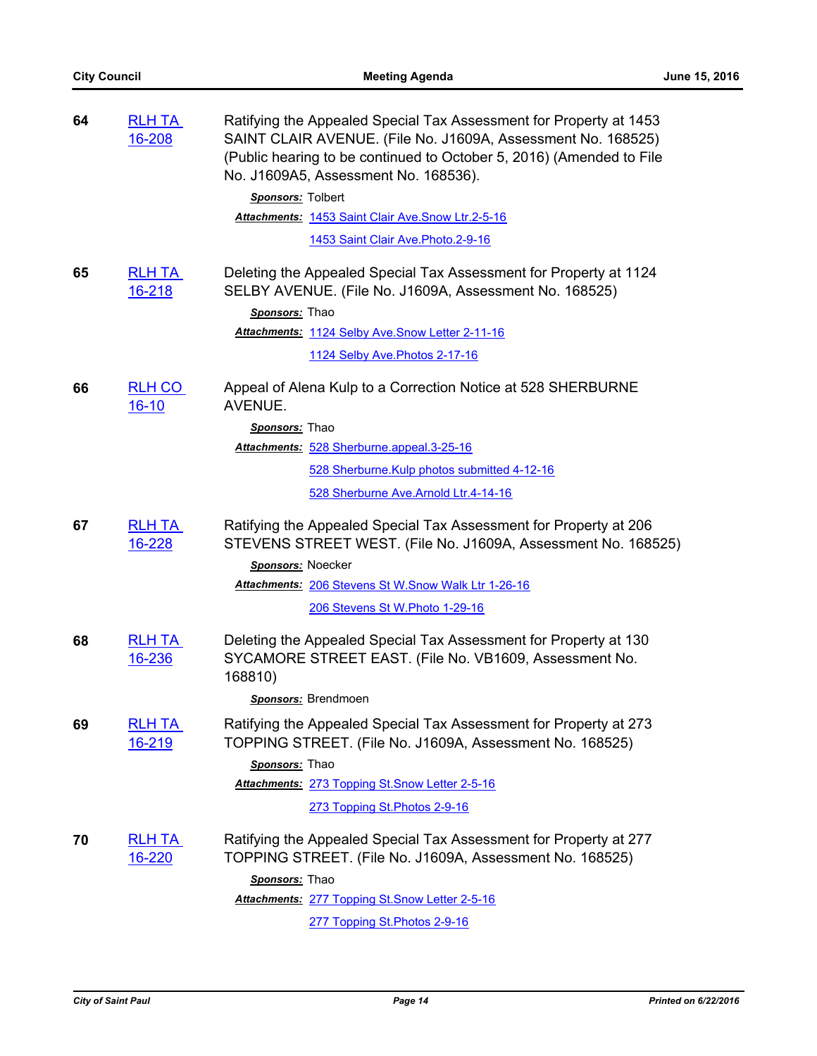| 64 | <b>RLH TA</b><br>16-208        | Ratifying the Appealed Special Tax Assessment for Property at 1453<br>SAINT CLAIR AVENUE. (File No. J1609A, Assessment No. 168525)<br>(Public hearing to be continued to October 5, 2016) (Amended to File<br>No. J1609A5, Assessment No. 168536). |
|----|--------------------------------|----------------------------------------------------------------------------------------------------------------------------------------------------------------------------------------------------------------------------------------------------|
|    |                                | Sponsors: Tolbert                                                                                                                                                                                                                                  |
|    |                                | Attachments: 1453 Saint Clair Ave. Snow Ltr.2-5-16                                                                                                                                                                                                 |
|    |                                | 1453 Saint Clair Ave. Photo. 2-9-16                                                                                                                                                                                                                |
| 65 | <b>RLH TA</b><br>16-218        | Deleting the Appealed Special Tax Assessment for Property at 1124<br>SELBY AVENUE. (File No. J1609A, Assessment No. 168525)                                                                                                                        |
|    |                                | Sponsors: Thao                                                                                                                                                                                                                                     |
|    |                                | Attachments: 1124 Selby Ave.Snow Letter 2-11-16                                                                                                                                                                                                    |
|    |                                | 1124 Selby Ave. Photos 2-17-16                                                                                                                                                                                                                     |
| 66 | <b>RLH CO</b><br>$16 - 10$     | Appeal of Alena Kulp to a Correction Notice at 528 SHERBURNE<br>AVENUE.                                                                                                                                                                            |
|    |                                | Sponsors: Thao                                                                                                                                                                                                                                     |
|    |                                | Attachments: 528 Sherburne.appeal.3-25-16                                                                                                                                                                                                          |
|    |                                | 528 Sherburne. Kulp photos submitted 4-12-16                                                                                                                                                                                                       |
|    |                                | 528 Sherburne Ave.Arnold Ltr.4-14-16                                                                                                                                                                                                               |
| 67 | <b>RLH TA</b><br>16-228        | Ratifying the Appealed Special Tax Assessment for Property at 206<br>STEVENS STREET WEST. (File No. J1609A, Assessment No. 168525)                                                                                                                 |
|    |                                | Sponsors: Noecker                                                                                                                                                                                                                                  |
|    |                                | <b>Attachments: 206 Stevens St W. Snow Walk Ltr 1-26-16</b>                                                                                                                                                                                        |
|    |                                | 206 Stevens St W. Photo 1-29-16                                                                                                                                                                                                                    |
| 68 | <b>RLH TA</b><br>16-236        | Deleting the Appealed Special Tax Assessment for Property at 130<br>SYCAMORE STREET EAST. (File No. VB1609, Assessment No.<br>168810)                                                                                                              |
|    |                                | Sponsors: Brendmoen                                                                                                                                                                                                                                |
| 69 | <b>RLH TA</b><br>16-219        | Ratifying the Appealed Special Tax Assessment for Property at 273<br>TOPPING STREET. (File No. J1609A, Assessment No. 168525)                                                                                                                      |
|    |                                | Sponsors: Thao                                                                                                                                                                                                                                     |
|    |                                | Attachments: 273 Topping St. Snow Letter 2-5-16                                                                                                                                                                                                    |
|    |                                | 273 Topping St. Photos 2-9-16                                                                                                                                                                                                                      |
| 70 | <u>RLH TA</u><br><u>16-220</u> | Ratifying the Appealed Special Tax Assessment for Property at 277<br>TOPPING STREET. (File No. J1609A, Assessment No. 168525)                                                                                                                      |
|    |                                | Sponsors: Thao                                                                                                                                                                                                                                     |
|    |                                | Attachments: 277 Topping St.Snow Letter 2-5-16                                                                                                                                                                                                     |
|    |                                | 277 Topping St. Photos 2-9-16                                                                                                                                                                                                                      |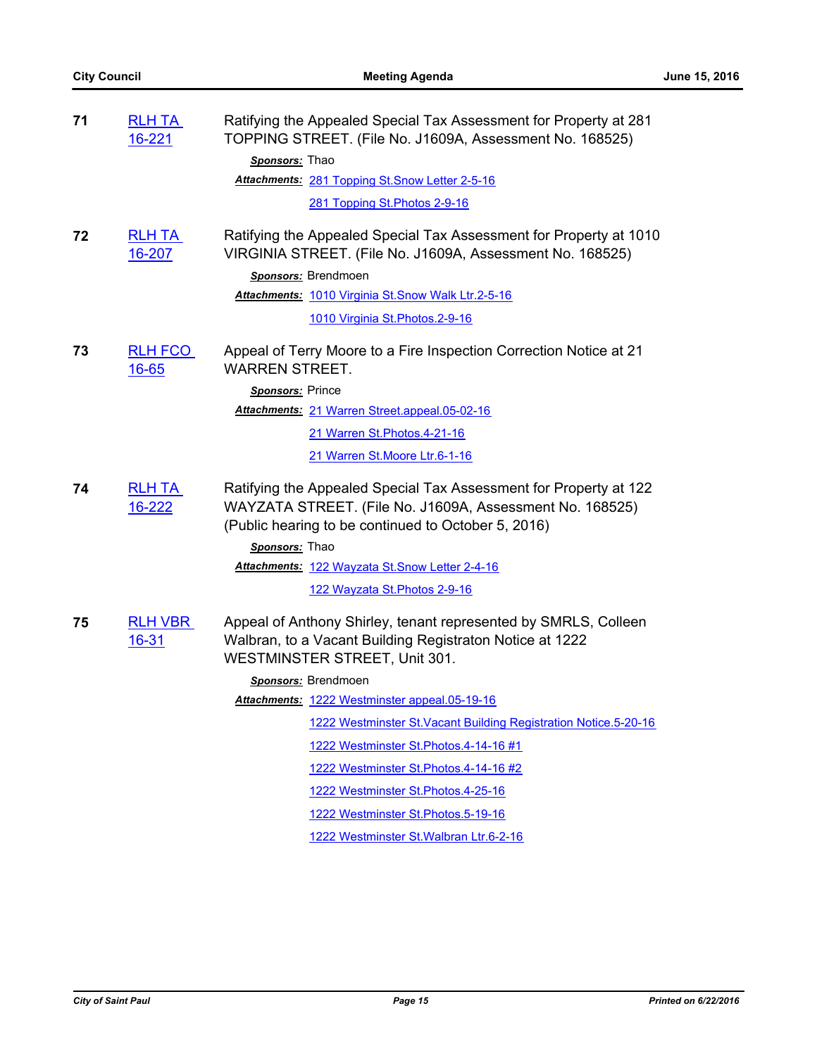| 71 | <b>RLH TA</b><br>16-221 | Ratifying the Appealed Special Tax Assessment for Property at 281<br>TOPPING STREET. (File No. J1609A, Assessment No. 168525)<br>Sponsors: Thao<br>Attachments: 281 Topping St. Snow Letter 2-5-16<br>281 Topping St. Photos 2-9-16                                                                                                                                                                                                                                                                                        |
|----|-------------------------|----------------------------------------------------------------------------------------------------------------------------------------------------------------------------------------------------------------------------------------------------------------------------------------------------------------------------------------------------------------------------------------------------------------------------------------------------------------------------------------------------------------------------|
| 72 | <b>RLH TA</b><br>16-207 | Ratifying the Appealed Special Tax Assessment for Property at 1010<br>VIRGINIA STREET. (File No. J1609A, Assessment No. 168525)<br>Sponsors: Brendmoen<br>Attachments: 1010 Virginia St. Snow Walk Ltr.2-5-16<br>1010 Virginia St. Photos. 2-9-16                                                                                                                                                                                                                                                                          |
| 73 | <b>RLH FCO</b><br>16-65 | Appeal of Terry Moore to a Fire Inspection Correction Notice at 21<br><b>WARREN STREET.</b><br>Sponsors: Prince<br>Attachments: 21 Warren Street.appeal.05-02-16<br>21 Warren St. Photos. 4-21-16<br>21 Warren St. Moore Ltr. 6-1-16                                                                                                                                                                                                                                                                                       |
| 74 | <b>RLH TA</b><br>16-222 | Ratifying the Appealed Special Tax Assessment for Property at 122<br>WAYZATA STREET. (File No. J1609A, Assessment No. 168525)<br>(Public hearing to be continued to October 5, 2016)<br>Sponsors: Thao<br>Attachments: 122 Wayzata St. Snow Letter 2-4-16<br>122 Wayzata St. Photos 2-9-16                                                                                                                                                                                                                                 |
| 75 | <b>RLH VBR</b><br>16-31 | Appeal of Anthony Shirley, tenant represented by SMRLS, Colleen<br>Walbran, to a Vacant Building Registraton Notice at 1222<br>WESTMINSTER STREET, Unit 301.<br>Sponsors: Brendmoen<br>Attachments: 1222 Westminster appeal.05-19-16<br>1222 Westminster St. Vacant Building Registration Notice. 5-20-16<br>1222 Westminster St. Photos. 4-14-16 #1<br>1222 Westminster St. Photos. 4-14-16 #2<br>1222 Westminster St. Photos. 4-25-16<br>1222 Westminster St. Photos. 5-19-16<br>1222 Westminster St. Walbran Ltr.6-2-16 |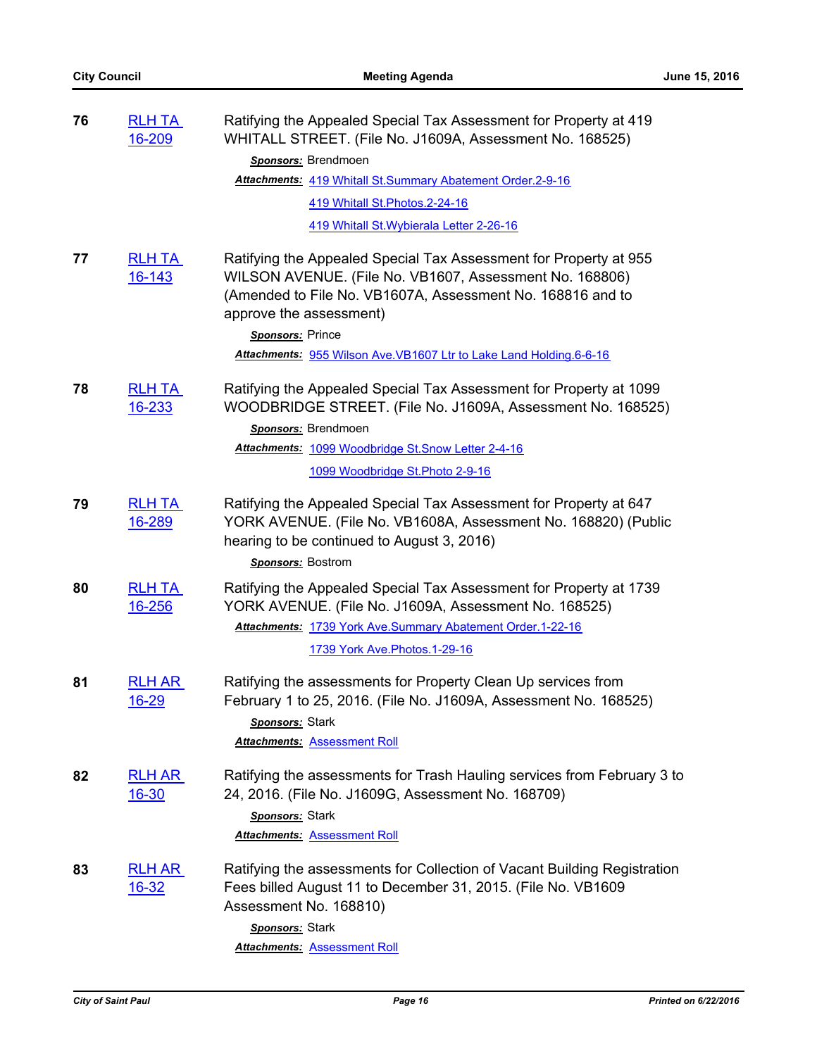| 76 | <b>RLH TA</b><br>16-209        | Ratifying the Appealed Special Tax Assessment for Property at 419<br>WHITALL STREET. (File No. J1609A, Assessment No. 168525)                                                                                         |
|----|--------------------------------|-----------------------------------------------------------------------------------------------------------------------------------------------------------------------------------------------------------------------|
|    |                                | Sponsors: Brendmoen                                                                                                                                                                                                   |
|    |                                | Attachments: 419 Whitall St.Summary Abatement Order.2-9-16                                                                                                                                                            |
|    |                                | 419 Whitall St. Photos. 2-24-16                                                                                                                                                                                       |
|    |                                | 419 Whitall St. Wybierala Letter 2-26-16                                                                                                                                                                              |
| 77 | <b>RLH TA</b><br>16-143        | Ratifying the Appealed Special Tax Assessment for Property at 955<br>WILSON AVENUE. (File No. VB1607, Assessment No. 168806)<br>(Amended to File No. VB1607A, Assessment No. 168816 and to<br>approve the assessment) |
|    |                                | Sponsors: Prince                                                                                                                                                                                                      |
|    |                                | Attachments: 955 Wilson Ave. VB1607 Ltr to Lake Land Holding. 6-6-16                                                                                                                                                  |
| 78 | <b>RLH TA</b><br>16-233        | Ratifying the Appealed Special Tax Assessment for Property at 1099<br>WOODBRIDGE STREET. (File No. J1609A, Assessment No. 168525)                                                                                     |
|    |                                | Sponsors: Brendmoen                                                                                                                                                                                                   |
|    |                                | Attachments: 1099 Woodbridge St. Snow Letter 2-4-16                                                                                                                                                                   |
|    |                                | 1099 Woodbridge St. Photo 2-9-16                                                                                                                                                                                      |
| 79 | <b>RLH TA</b><br>16-289        | Ratifying the Appealed Special Tax Assessment for Property at 647<br>YORK AVENUE. (File No. VB1608A, Assessment No. 168820) (Public<br>hearing to be continued to August 3, 2016)<br>Sponsors: Bostrom                |
|    |                                |                                                                                                                                                                                                                       |
| 80 | <b>RLH TA</b><br><u>16-256</u> | Ratifying the Appealed Special Tax Assessment for Property at 1739<br>YORK AVENUE. (File No. J1609A, Assessment No. 168525)                                                                                           |
|    |                                | Attachments: 1739 York Ave.Summary Abatement Order.1-22-16                                                                                                                                                            |
|    |                                | 1739 York Ave. Photos. 1-29-16                                                                                                                                                                                        |
| 81 | <b>RLH AR</b><br><u>16-29</u>  | Ratifying the assessments for Property Clean Up services from<br>February 1 to 25, 2016. (File No. J1609A, Assessment No. 168525)<br>Sponsors: Stark<br><b>Attachments: Assessment Roll</b>                           |
| 82 | <b>RLH AR</b>                  | Ratifying the assessments for Trash Hauling services from February 3 to                                                                                                                                               |
|    | $16 - 30$                      | 24, 2016. (File No. J1609G, Assessment No. 168709)                                                                                                                                                                    |
|    |                                | Sponsors: Stark                                                                                                                                                                                                       |
|    |                                | <b>Attachments: Assessment Roll</b>                                                                                                                                                                                   |
| 83 | <b>RLH AR</b><br><u>16-32</u>  | Ratifying the assessments for Collection of Vacant Building Registration<br>Fees billed August 11 to December 31, 2015. (File No. VB1609<br>Assessment No. 168810)                                                    |
|    |                                | Sponsors: Stark                                                                                                                                                                                                       |
|    |                                | <b>Attachments: Assessment Roll</b>                                                                                                                                                                                   |